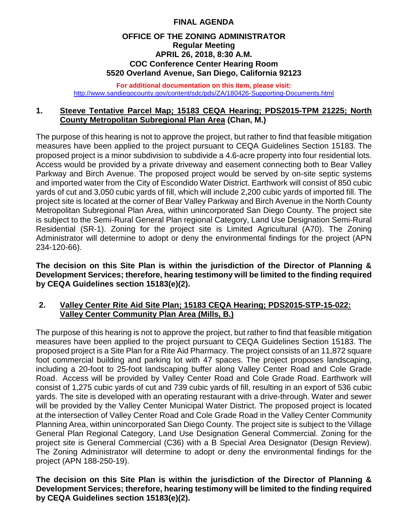# **FINAL AGENDA**

#### **OFFICE OF THE ZONING ADMINISTRATOR Regular Meeting APRIL 26, 2018, 8:30 A.M. COC Conference Center Hearing Room 5520 Overland Avenue, San Diego, California 92123**

**For additional documentation on this item, please visit:** <http://www.sandiegocounty.gov/content/sdc/pds/ZA/180426-Supporting-Documents.html>

# **1. Steeve Tentative Parcel Map; 15183 CEQA Hearing; PDS2015-TPM 21225; North County Metropolitan Subregional Plan Area (Chan, M.)**

The purpose of this hearing is not to approve the project, but rather to find that feasible mitigation measures have been applied to the project pursuant to CEQA Guidelines Section 15183. The proposed project is a minor subdivision to subdivide a 4.6-acre property into four residential lots. Access would be provided by a private driveway and easement connecting both to Bear Valley Parkway and Birch Avenue. The proposed project would be served by on-site septic systems and imported water from the City of Escondido Water District. Earthwork will consist of 850 cubic yards of cut and 3,050 cubic yards of fill, which will include 2,200 cubic yards of imported fill. The project site is located at the corner of Bear Valley Parkway and Birch Avenue in the North County Metropolitan Subregional Plan Area, within unincorporated San Diego County. The project site is subject to the Semi-Rural General Plan regional Category, Land Use Designation Semi-Rural Residential (SR-1). Zoning for the project site is Limited Agricultural (A70). The Zoning Administrator will determine to adopt or deny the environmental findings for the project (APN 234-120-66).

**The decision on this Site Plan is within the jurisdiction of the Director of Planning & Development Services; therefore, hearing testimony will be limited to the finding required by CEQA Guidelines section 15183(e)(2).** 

### **2. Valley Center Rite Aid Site Plan; 15183 CEQA Hearing; PDS2015-STP-15-022: Valley Center Community Plan Area (Mills, B.)**

The purpose of this hearing is not to approve the project, but rather to find that feasible mitigation measures have been applied to the project pursuant to CEQA Guidelines Section 15183. The proposed project is a Site Plan for a Rite Aid Pharmacy. The project consists of an 11,872 square foot commercial building and parking lot with 47 spaces. The project proposes landscaping, including a 20-foot to 25-foot landscaping buffer along Valley Center Road and Cole Grade Road. Access will be provided by Valley Center Road and Cole Grade Road. Earthwork will consist of 1,275 cubic yards of cut and 739 cubic yards of fill, resulting in an export of 536 cubic yards. The site is developed with an operating restaurant with a drive-through. Water and sewer will be provided by the Valley Center Municipal Water District. The proposed project is located at the intersection of Valley Center Road and Cole Grade Road in the Valley Center Community Planning Area, within unincorporated San Diego County. The project site is subject to the Village General Plan Regional Category, Land Use Designation General Commercial. Zoning for the project site is General Commercial (C36) with a B Special Area Designator (Design Review). The Zoning Administrator will determine to adopt or deny the environmental findings for the project (APN 188-250-19).

**The decision on this Site Plan is within the jurisdiction of the Director of Planning & Development Services; therefore, hearing testimony will be limited to the finding required by CEQA Guidelines section 15183(e)(2).**